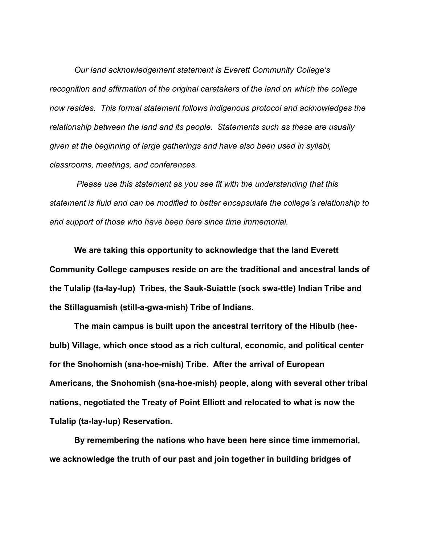*Our land acknowledgement statement is Everett Community College's recognition and affirmation of the original caretakers of the land on which the college now resides. This formal statement follows indigenous protocol and acknowledges the relationship between the land and its people. Statements such as these are usually given at the beginning of large gatherings and have also been used in syllabi, classrooms, meetings, and conferences.*

*Please use this statement as you see fit with the understanding that this statement is fluid and can be modified to better encapsulate the college's relationship to and support of those who have been here since time immemorial.*

**We are taking this opportunity to acknowledge that the land Everett Community College campuses reside on are the traditional and ancestral lands of the Tulalip (ta-lay-lup) Tribes, the Sauk-Suiattle (sock swa-ttle) Indian Tribe and the Stillaguamish (still-a-gwa-mish) Tribe of Indians.**

**The main campus is built upon the ancestral territory of the Hibulb (heebulb) Village, which once stood as a rich cultural, economic, and political center for the Snohomish (sna-hoe-mish) Tribe. After the arrival of European Americans, the Snohomish (sna-hoe-mish) people, along with several other tribal nations, negotiated the Treaty of Point Elliott and relocated to what is now the Tulalip (ta-lay-lup) Reservation.**

**By remembering the nations who have been here since time immemorial, we acknowledge the truth of our past and join together in building bridges of**